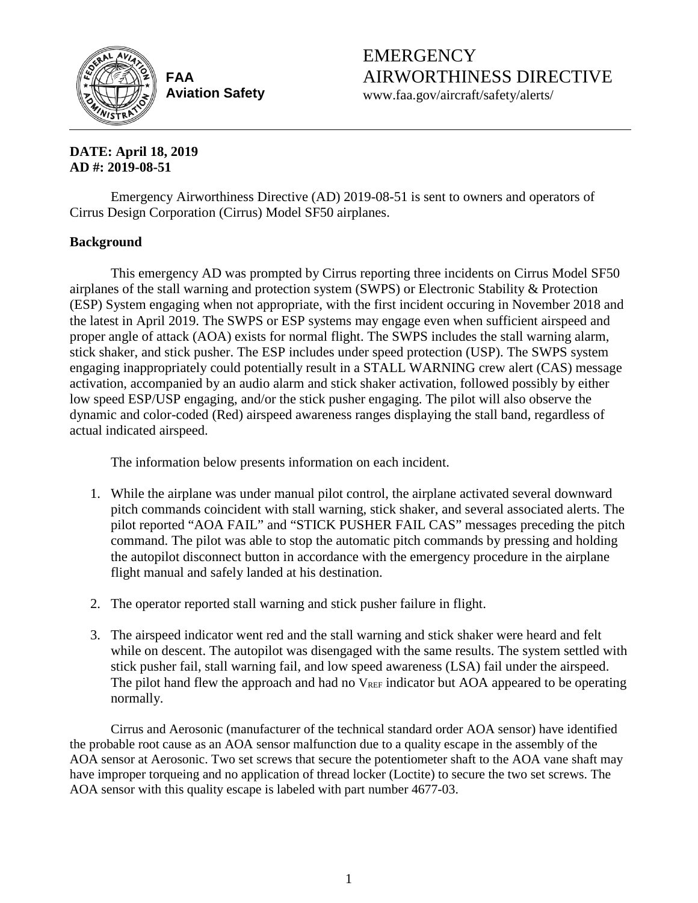

**FAA Aviation Safety** EMERGENCY AIRWORTHINESS DIRECTIVE

www.faa.gov/aircraft/safety/alerts/

## **DATE: April 18, 2019 AD #: 2019-08-51**

Emergency Airworthiness Directive (AD) 2019-08-51 is sent to owners and operators of Cirrus Design Corporation (Cirrus) Model SF50 airplanes.

# **Background**

This emergency AD was prompted by Cirrus reporting three incidents on Cirrus Model SF50 airplanes of the stall warning and protection system (SWPS) or Electronic Stability & Protection (ESP) System engaging when not appropriate, with the first incident occuring in November 2018 and the latest in April 2019. The SWPS or ESP systems may engage even when sufficient airspeed and proper angle of attack (AOA) exists for normal flight. The SWPS includes the stall warning alarm, stick shaker, and stick pusher. The ESP includes under speed protection (USP). The SWPS system engaging inappropriately could potentially result in a STALL WARNING crew alert (CAS) message activation, accompanied by an audio alarm and stick shaker activation, followed possibly by either low speed ESP/USP engaging, and/or the stick pusher engaging. The pilot will also observe the dynamic and color-coded (Red) airspeed awareness ranges displaying the stall band, regardless of actual indicated airspeed.

The information below presents information on each incident.

- 1. While the airplane was under manual pilot control, the airplane activated several downward pitch commands coincident with stall warning, stick shaker, and several associated alerts. The pilot reported "AOA FAIL" and "STICK PUSHER FAIL CAS" messages preceding the pitch command. The pilot was able to stop the automatic pitch commands by pressing and holding the autopilot disconnect button in accordance with the emergency procedure in the airplane flight manual and safely landed at his destination.
- 2. The operator reported stall warning and stick pusher failure in flight.
- 3. The airspeed indicator went red and the stall warning and stick shaker were heard and felt while on descent. The autopilot was disengaged with the same results. The system settled with stick pusher fail, stall warning fail, and low speed awareness (LSA) fail under the airspeed. The pilot hand flew the approach and had no  $V_{REF}$  indicator but AOA appeared to be operating normally.

Cirrus and Aerosonic (manufacturer of the technical standard order AOA sensor) have identified the probable root cause as an AOA sensor malfunction due to a quality escape in the assembly of the AOA sensor at Aerosonic. Two set screws that secure the potentiometer shaft to the AOA vane shaft may have improper torqueing and no application of thread locker (Loctite) to secure the two set screws. The AOA sensor with this quality escape is labeled with part number 4677-03.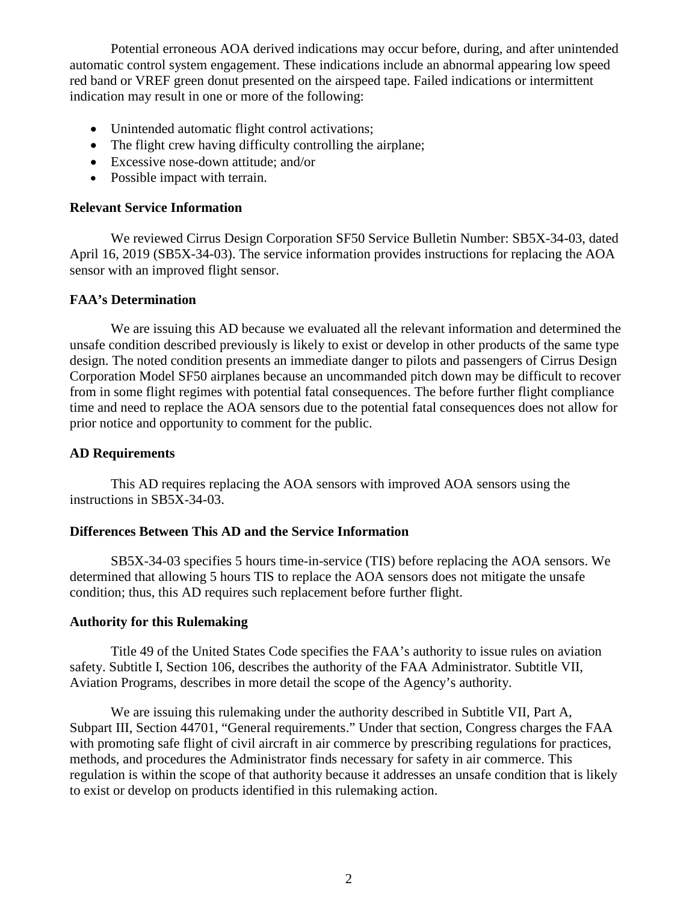Potential erroneous AOA derived indications may occur before, during, and after unintended automatic control system engagement. These indications include an abnormal appearing low speed red band or VREF green donut presented on the airspeed tape. Failed indications or intermittent indication may result in one or more of the following:

- Unintended automatic flight control activations;
- The flight crew having difficulty controlling the airplane;
- Excessive nose-down attitude; and/or
- Possible impact with terrain.

## **Relevant Service Information**

We reviewed Cirrus Design Corporation SF50 Service Bulletin Number: SB5X-34-03, dated April 16, 2019 (SB5X-34-03). The service information provides instructions for replacing the AOA sensor with an improved flight sensor.

## **FAA's Determination**

We are issuing this AD because we evaluated all the relevant information and determined the unsafe condition described previously is likely to exist or develop in other products of the same type design. The noted condition presents an immediate danger to pilots and passengers of Cirrus Design Corporation Model SF50 airplanes because an uncommanded pitch down may be difficult to recover from in some flight regimes with potential fatal consequences. The before further flight compliance time and need to replace the AOA sensors due to the potential fatal consequences does not allow for prior notice and opportunity to comment for the public.

## **AD Requirements**

This AD requires replacing the AOA sensors with improved AOA sensors using the instructions in SB5X-34-03.

## **Differences Between This AD and the Service Information**

SB5X-34-03 specifies 5 hours time-in-service (TIS) before replacing the AOA sensors. We determined that allowing 5 hours TIS to replace the AOA sensors does not mitigate the unsafe condition; thus, this AD requires such replacement before further flight.

## **Authority for this Rulemaking**

Title 49 of the United States Code specifies the FAA's authority to issue rules on aviation safety. Subtitle I, Section 106, describes the authority of the FAA Administrator. Subtitle VII, Aviation Programs, describes in more detail the scope of the Agency's authority.

We are issuing this rulemaking under the authority described in Subtitle VII, Part A, Subpart III, Section 44701, "General requirements." Under that section, Congress charges the FAA with promoting safe flight of civil aircraft in air commerce by prescribing regulations for practices, methods, and procedures the Administrator finds necessary for safety in air commerce. This regulation is within the scope of that authority because it addresses an unsafe condition that is likely to exist or develop on products identified in this rulemaking action.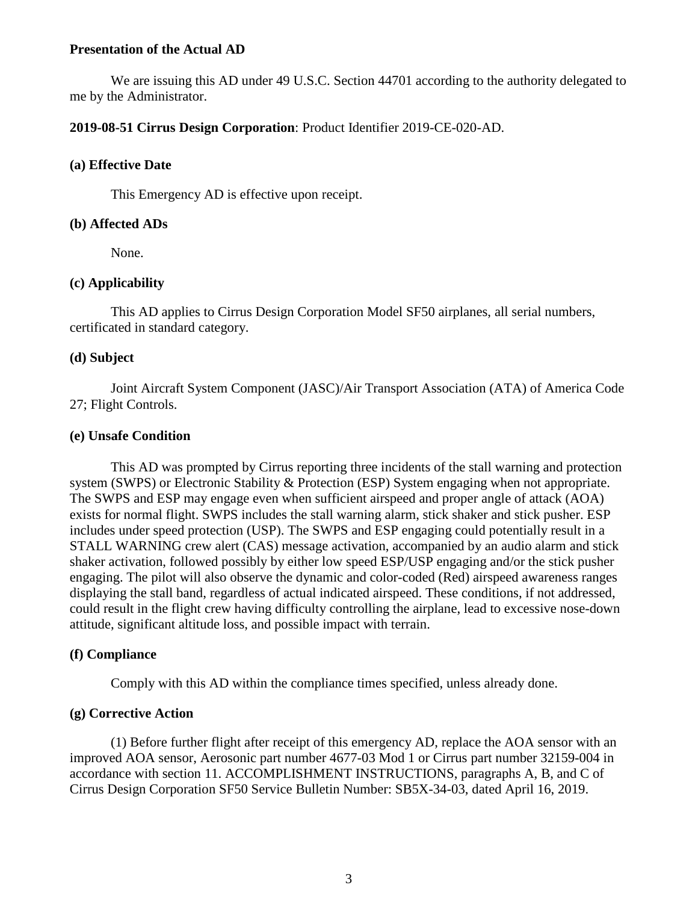#### **Presentation of the Actual AD**

We are issuing this AD under 49 U.S.C. Section 44701 according to the authority delegated to me by the Administrator.

#### **2019-08-51 Cirrus Design Corporation**: Product Identifier 2019-CE-020-AD.

#### **(a) Effective Date**

This Emergency AD is effective upon receipt.

#### **(b) Affected ADs**

None.

## **(c) Applicability**

This AD applies to Cirrus Design Corporation Model SF50 airplanes, all serial numbers, certificated in standard category.

#### **(d) Subject**

Joint Aircraft System Component (JASC)/Air Transport Association (ATA) of America Code 27; Flight Controls.

#### **(e) Unsafe Condition**

This AD was prompted by Cirrus reporting three incidents of the stall warning and protection system (SWPS) or Electronic Stability & Protection (ESP) System engaging when not appropriate. The SWPS and ESP may engage even when sufficient airspeed and proper angle of attack (AOA) exists for normal flight. SWPS includes the stall warning alarm, stick shaker and stick pusher. ESP includes under speed protection (USP). The SWPS and ESP engaging could potentially result in a STALL WARNING crew alert (CAS) message activation, accompanied by an audio alarm and stick shaker activation, followed possibly by either low speed ESP/USP engaging and/or the stick pusher engaging. The pilot will also observe the dynamic and color-coded (Red) airspeed awareness ranges displaying the stall band, regardless of actual indicated airspeed. These conditions, if not addressed, could result in the flight crew having difficulty controlling the airplane, lead to excessive nose-down attitude, significant altitude loss, and possible impact with terrain.

## **(f) Compliance**

Comply with this AD within the compliance times specified, unless already done.

## **(g) Corrective Action**

(1) Before further flight after receipt of this emergency AD, replace the AOA sensor with an improved AOA sensor, Aerosonic part number 4677-03 Mod 1 or Cirrus part number 32159-004 in accordance with section 11. ACCOMPLISHMENT INSTRUCTIONS, paragraphs A, B, and C of Cirrus Design Corporation SF50 Service Bulletin Number: SB5X-34-03, dated April 16, 2019.